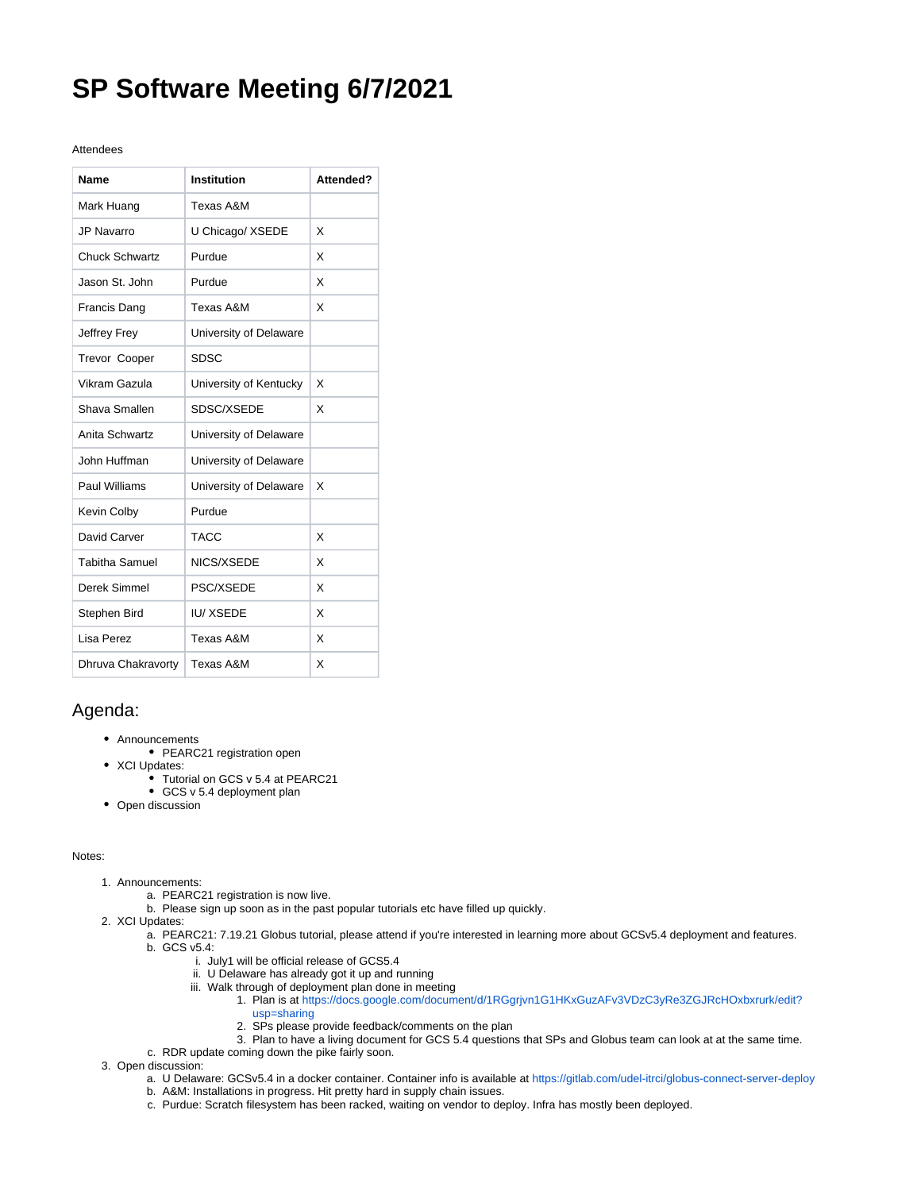## **SP Software Meeting 6/7/2021**

## Attendees

| Name                  | Institution            | Attended? |
|-----------------------|------------------------|-----------|
| Mark Huang            | Texas A&M              |           |
| <b>JP Navarro</b>     | U Chicago/ XSEDE       | X         |
| Chuck Schwartz        | Purdue                 | X         |
| Jason St. John        | Purdue                 | x         |
| Francis Dang          | Texas A&M              | X         |
| Jeffrey Frey          | University of Delaware |           |
| Trevor Cooper         | <b>SDSC</b>            |           |
| Vikram Gazula         | University of Kentucky | X         |
| Shava Smallen         | SDSC/XSEDE             | X         |
| Anita Schwartz        | University of Delaware |           |
| John Huffman          | University of Delaware |           |
| Paul Williams         | University of Delaware | X         |
| Kevin Colby           | Purdue                 |           |
| David Carver          | <b>TACC</b>            | X         |
| <b>Tabitha Samuel</b> | NICS/XSEDE             | X         |
| Derek Simmel          | PSC/XSEDE              | X         |
| Stephen Bird          | <b>IU/XSEDE</b>        | X         |
| Lisa Perez            | Texas A&M              | X         |
| Dhruva Chakravorty    | Texas A&M              | X         |

## Agenda:

- Announcements
	- PEARC21 registration open
- XCI Updates:
	- Tutorial on GCS v 5.4 at PEARC21
	- GCS v 5.4 deployment plan
- Open discussion

## Notes:

- 1. Announcements:
	- a. PEARC21 registration is now live.
	- b. Please sign up soon as in the past popular tutorials etc have filled up quickly.
- 2. XCI Updates:
	- a. PEARC21: 7.19.21 Globus tutorial, please attend if you're interested in learning more about GCSv5.4 deployment and features. b. GCS v5.4:
		- i. July1 will be official release of GCS5.4
		- ii. U Delaware has already got it up and running
		- iii. Walk through of deployment plan done in meeting
			- 1. Plan is at [https://docs.google.com/document/d/1RGgrjvn1G1HKxGuzAFv3VDzC3yRe3ZGJRcHOxbxrurk/edit?](https://docs.google.com/document/d/1RGgrjvn1G1HKxGuzAFv3VDzC3yRe3ZGJRcHOxbxrurk/edit?usp=sharing) [usp=sharing](https://docs.google.com/document/d/1RGgrjvn1G1HKxGuzAFv3VDzC3yRe3ZGJRcHOxbxrurk/edit?usp=sharing)
			- 2. SPs please provide feedback/comments on the plan
		- 3. Plan to have a living document for GCS 5.4 questions that SPs and Globus team can look at at the same time.
	- c. RDR update coming down the pike fairly soon.
- 3. Open discussion:
	- a. U Delaware: GCSv5.4 in a docker container. Container info is available at <https://gitlab.com/udel-itrci/globus-connect-server-deploy>
	- b. A&M: Installations in progress. Hit pretty hard in supply chain issues.
	- c. Purdue: Scratch filesystem has been racked, waiting on vendor to deploy. Infra has mostly been deployed.